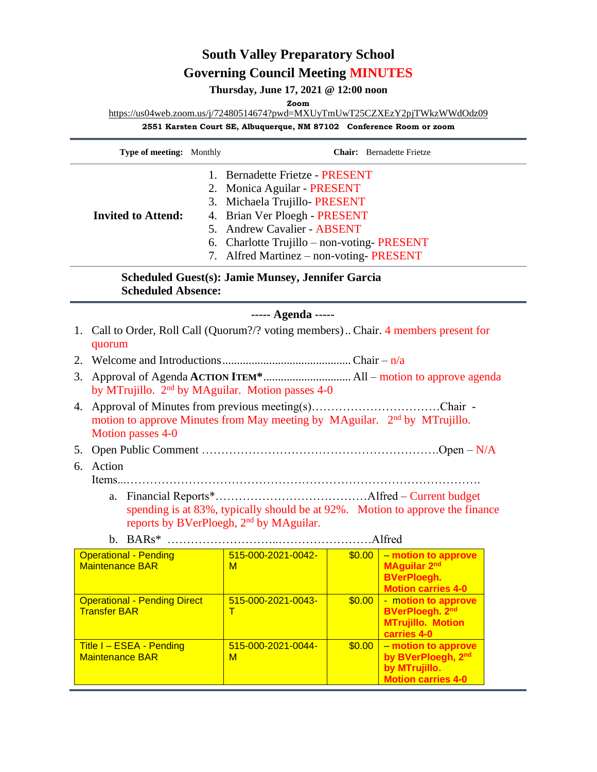## **South Valley Preparatory School Governing Council Meeting MINUTES**

**Thursday, June 17, 2021 @ 12:00 noon**

**Zoom**

[https://us04web.zoom.us/j/72480514674?pwd=MXUyTmUwT25CZXEzY2pjTWkzWWdOdz09](https://www.google.com/url?q=https://us04web.zoom.us/j/72480514674?pwd%3DMXUyTmUwT25CZXEzY2pjTWkzWWdOdz09&sa=D&source=calendar&ust=1624300993659000&usg=AOvVaw1_thRHwFAgH1GpPymYWyOs)

**2551 Karsten Court SE, Albuquerque, NM 87102 Conference Room or zoom**

| Type of meeting: Monthly                                                                                                                                             |  |                                                                                                                                                                                                                                                         | <b>Chair:</b> Bernadette Frietze |                                                                                               |  |  |  |  |
|----------------------------------------------------------------------------------------------------------------------------------------------------------------------|--|---------------------------------------------------------------------------------------------------------------------------------------------------------------------------------------------------------------------------------------------------------|----------------------------------|-----------------------------------------------------------------------------------------------|--|--|--|--|
| <b>Invited to Attend:</b>                                                                                                                                            |  | 1. Bernadette Frietze - PRESENT<br>2. Monica Aguilar - PRESENT<br>3. Michaela Trujillo-PRESENT<br>4. Brian Ver Ploegh - PRESENT<br>5. Andrew Cavalier - ABSENT<br>6. Charlotte Trujillo - non-voting-PRESENT<br>7. Alfred Martinez – non-voting-PRESENT |                                  |                                                                                               |  |  |  |  |
| <b>Scheduled Guest(s): Jamie Munsey, Jennifer Garcia</b><br><b>Scheduled Absence:</b>                                                                                |  |                                                                                                                                                                                                                                                         |                                  |                                                                                               |  |  |  |  |
| ----- Agenda -----                                                                                                                                                   |  |                                                                                                                                                                                                                                                         |                                  |                                                                                               |  |  |  |  |
| 1. Call to Order, Roll Call (Quorum?/? voting members) Chair. 4 members present for<br>quorum                                                                        |  |                                                                                                                                                                                                                                                         |                                  |                                                                                               |  |  |  |  |
|                                                                                                                                                                      |  |                                                                                                                                                                                                                                                         |                                  |                                                                                               |  |  |  |  |
| 3.<br>by MTrujillo. 2 <sup>nd</sup> by MAguilar. Motion passes 4-0                                                                                                   |  |                                                                                                                                                                                                                                                         |                                  |                                                                                               |  |  |  |  |
| 4. Approval of Minutes from previous meeting(s)Chair -<br>motion to approve Minutes from May meeting by MAguilar. 2 <sup>nd</sup> by MTrujillo.<br>Motion passes 4-0 |  |                                                                                                                                                                                                                                                         |                                  |                                                                                               |  |  |  |  |
|                                                                                                                                                                      |  |                                                                                                                                                                                                                                                         |                                  |                                                                                               |  |  |  |  |
| 6. Action                                                                                                                                                            |  |                                                                                                                                                                                                                                                         |                                  |                                                                                               |  |  |  |  |
| a.<br>spending is at 83%, typically should be at 92%. Motion to approve the finance<br>reports by BVerPloegh, 2 <sup>nd</sup> by MAguilar.                           |  |                                                                                                                                                                                                                                                         |                                  |                                                                                               |  |  |  |  |
| <b>Operational - Pending</b><br><b>Maintenance BAR</b>                                                                                                               |  | $\begin{array}{ c c c c c c c c c } \hline \texttt{515-000-2021-0042-} & \texttt{\$0.00} \hline \end{array}$<br>$\mathsf{M}$                                                                                                                            |                                  | - motion to approve<br><b>MAguilar 2nd</b><br><b>BVerPloegh.</b><br><b>Motion carries 4-0</b> |  |  |  |  |
| <b>Operational - Pending Direct</b><br><b>Transfer BAR</b>                                                                                                           |  | 515-000-2021-0043-<br>T                                                                                                                                                                                                                                 | \$0.00                           | - motion to approve<br><b>BVerPloegh. 2nd</b><br><b>MTrujillo. Motion</b><br>carries 4-0      |  |  |  |  |
| Title I - ESEA - Pending<br><b>Maintenance BAR</b>                                                                                                                   |  | 515-000-2021-0044-<br>M                                                                                                                                                                                                                                 | \$0.00                           | - motion to approve<br>by BVerPloegh, 2nd<br>by MTrujillo.<br><b>Motion carries 4-0</b>       |  |  |  |  |